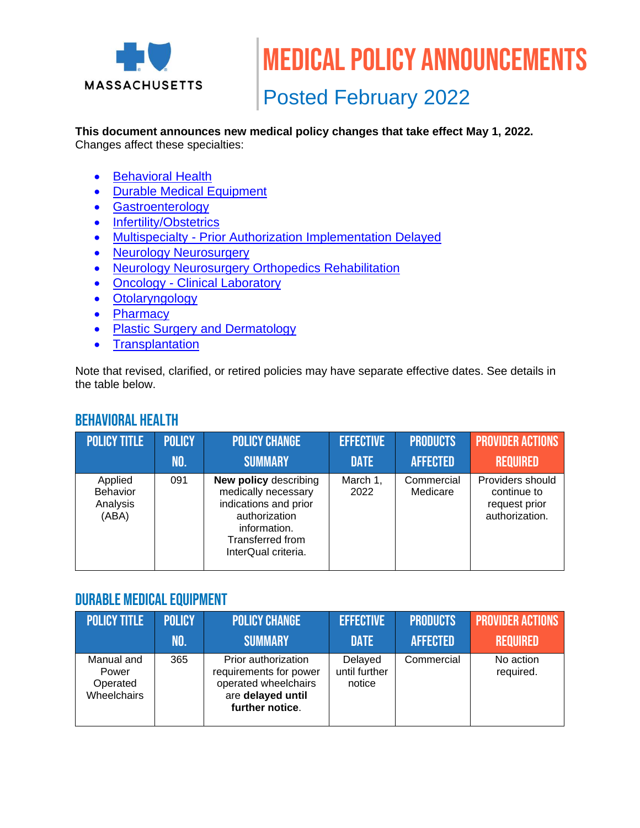

Medical policy announcements

# Posted February 2022

#### **This document announces new medical policy changes that take effect May 1, 2022.** Changes affect these specialties:

- [Behavioral Health](#page-0-0)
- [Durable Medical Equipment](#page-0-1)
- [Gastroenterology](#page-1-0)
- [Infertility/Obstetrics](#page-1-1)
- Multispecialty [Prior Authorization Implementation Delayed](#page-1-2)
- [Neurology Neurosurgery](#page-1-3)
- [Neurology Neurosurgery Orthopedics Rehabilitation](#page-2-0)
- Oncology [Clinical Laboratory](#page-2-1)
- [Otolaryngology](#page-2-2)
- [Pharmacy](#page-3-0)
- [Plastic Surgery and Dermatology](#page-3-1)
- [Transplantation](#page-3-2)

Note that revised, clarified, or retired policies may have separate effective dates. See details in the table below.

#### <span id="page-0-0"></span>Behavioral Health

| <b>POLICY TITLE</b>                      | <b>POLICY</b> | <b>POLICY CHANGE</b>                                                                                                                                     | <b>EFFECTIVE</b> | <b>PRODUCTS</b>        | <b>PROVIDER ACTIONS</b>                                            |
|------------------------------------------|---------------|----------------------------------------------------------------------------------------------------------------------------------------------------------|------------------|------------------------|--------------------------------------------------------------------|
|                                          | .NO.          | <b>SUMMARY</b>                                                                                                                                           | <b>DATE</b>      | <b>AFFECTED</b>        | <b>REQUIRED</b>                                                    |
| Applied<br>Behavior<br>Analysis<br>(ABA) | 091           | <b>New policy describing</b><br>medically necessary<br>indications and prior<br>authorization<br>information.<br>Transferred from<br>InterQual criteria. | March 1,<br>2022 | Commercial<br>Medicare | Providers should<br>continue to<br>request prior<br>authorization. |

#### <span id="page-0-1"></span>Durable Medical Equipment

| <b>POLICY TITLE</b>                            | <b>POLICY</b> | <b>POLICY CHANGE</b>                                                                                          | <b>EFFECTIVE</b>                   | <b>PRODUCTS</b> | <b>PROVIDER ACTIONS</b> |
|------------------------------------------------|---------------|---------------------------------------------------------------------------------------------------------------|------------------------------------|-----------------|-------------------------|
|                                                | NO.           | <b>SUMMARY</b>                                                                                                | <b>DATE</b>                        | <b>AFFECTED</b> | <b>REQUIRED</b>         |
| Manual and<br>Power<br>Operated<br>Wheelchairs | 365           | Prior authorization<br>requirements for power<br>operated wheelchairs<br>are delayed until<br>further notice. | Delayed<br>until further<br>notice | Commercial      | No action<br>required.  |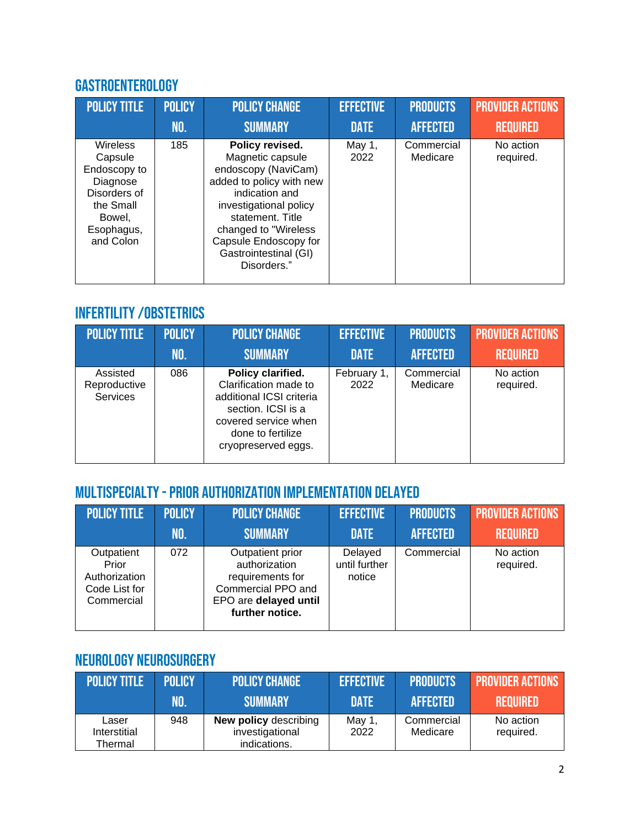### <span id="page-1-0"></span>Gastroenterology

| <b>POLICY TITLE</b>                                                                                                      | <b>POLICY</b> | <b>POLICY CHANGE</b>                                                                                                                                                                                                                            | <b>EFFECTIVE</b> | <b>PRODUCTS</b>        | <b>PROVIDER ACTIONS</b> |
|--------------------------------------------------------------------------------------------------------------------------|---------------|-------------------------------------------------------------------------------------------------------------------------------------------------------------------------------------------------------------------------------------------------|------------------|------------------------|-------------------------|
|                                                                                                                          | NO.           | <b>SUMMARY</b>                                                                                                                                                                                                                                  | <b>DATE</b>      | <b>AFFECTED</b>        | <b>REQUIRED</b>         |
| <b>Wireless</b><br>Capsule<br>Endoscopy to<br>Diagnose<br>Disorders of<br>the Small<br>Bowel,<br>Esophagus,<br>and Colon | 185           | Policy revised.<br>Magnetic capsule<br>endoscopy (NaviCam)<br>added to policy with new<br>indication and<br>investigational policy<br>statement. Title<br>changed to "Wireless<br>Capsule Endoscopy for<br>Gastrointestinal (GI)<br>Disorders." | May 1,<br>2022   | Commercial<br>Medicare | No action<br>required.  |

### <span id="page-1-1"></span>Infertility/Obstetrics

| <b>POLICY TITLE</b>                         | <b>POLICY</b> | <b>POLICY CHANGE</b>                                                                                                                                             | <b>EFFECTIVE</b>    | <b>PRODUCTS</b>        | <b>PROVIDER ACTIONS</b> |
|---------------------------------------------|---------------|------------------------------------------------------------------------------------------------------------------------------------------------------------------|---------------------|------------------------|-------------------------|
|                                             | NO.           | <b>SUMMARY</b>                                                                                                                                                   | <b>DATE</b>         | <b>AFFECTED</b>        | <b>REQUIRED</b>         |
| Assisted<br>Reproductive<br><b>Services</b> | 086           | Policy clarified.<br>Clarification made to<br>additional ICSI criteria<br>section. ICSI is a<br>covered service when<br>done to fertilize<br>cryopreserved eggs. | February 1,<br>2022 | Commercial<br>Medicare | No action<br>required.  |

## <span id="page-1-2"></span>Multispecialty -Prior Authorization Implementation Delayed

| <b>POLICY TITLE</b>                                                 | <b>POLICY</b> | <b>POLICY CHANGE</b>                                                                                                    | <b>EFFECTIVE</b>                   | <b>PRODUCTS</b> | <b>PROVIDER ACTIONS</b> |
|---------------------------------------------------------------------|---------------|-------------------------------------------------------------------------------------------------------------------------|------------------------------------|-----------------|-------------------------|
|                                                                     | NO.           | <b>SUMMARY</b>                                                                                                          | <b>DATE</b>                        | <b>AFFECTED</b> | <b>REQUIRED</b>         |
| Outpatient<br>Prior<br>Authorization<br>Code List for<br>Commercial | 072           | Outpatient prior<br>authorization<br>requirements for<br>Commercial PPO and<br>EPO are delayed until<br>further notice. | Delayed<br>until further<br>notice | Commercial      | No action<br>required.  |

### <span id="page-1-3"></span>Neurology Neurosurgery

| <b>POLICY TITLE</b>              | <b>POLICY</b> | <b>POLICY CHANGE</b>                                            | <b>EFFECTIVE</b> | <b>PRODUCTS</b>        | <b>PROVIDER ACTIONS</b> |
|----------------------------------|---------------|-----------------------------------------------------------------|------------------|------------------------|-------------------------|
|                                  | NO.           | <b>SUMMARY</b>                                                  | <b>DATE</b>      | <b>AFFECTED</b>        | <b>REQUIRED</b>         |
| Laser<br>Interstitial<br>Thermal | 948           | <b>New policy describing</b><br>investigational<br>indications. | May 1,<br>2022   | Commercial<br>Medicare | No action<br>required.  |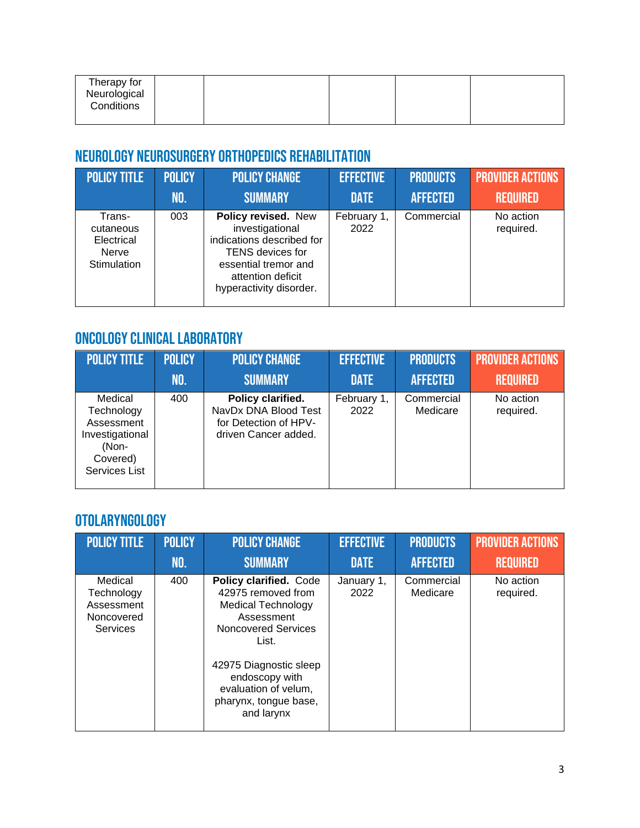| Therapy for<br>Neurological<br>Conditions |  |  |  |  |
|-------------------------------------------|--|--|--|--|
|-------------------------------------------|--|--|--|--|

### <span id="page-2-0"></span>Neurology Neurosurgery Orthopedics Rehabilitation

| <b>POLICY TITLE</b>                                       | <b>POLICY</b> | <b>POLICY CHANGE</b>                                                                                                                                            | <b>EFFECTIVE</b>    | <b>PRODUCTS</b> | <b>PROVIDER ACTIONS</b> |
|-----------------------------------------------------------|---------------|-----------------------------------------------------------------------------------------------------------------------------------------------------------------|---------------------|-----------------|-------------------------|
|                                                           | NO.           | <b>SUMMARY</b>                                                                                                                                                  | <b>DATE</b>         | <b>AFFECTED</b> | <b>REQUIRED</b>         |
| Trans-<br>cutaneous<br>Electrical<br>Nerve<br>Stimulation | 003           | Policy revised. New<br>investigational<br>indications described for<br>TENS devices for<br>essential tremor and<br>attention deficit<br>hyperactivity disorder. | February 1,<br>2022 | Commercial      | No action<br>required.  |

### <span id="page-2-1"></span>Oncology Clinical laboratory

| <b>POLICY TITLE</b>                                                                          | <b>POLICY</b> | <b>POLICY CHANGE</b>                                                                       | <b>EFFECTIVE</b>    | <b>PRODUCTS</b>        | <b>PROVIDER ACTIONS</b> |
|----------------------------------------------------------------------------------------------|---------------|--------------------------------------------------------------------------------------------|---------------------|------------------------|-------------------------|
|                                                                                              | NO.           | <b>SUMMARY</b>                                                                             | <b>DATE</b>         | <b>AFFECTED</b>        | <b>REQUIRED</b>         |
| Medical<br>Technology<br>Assessment<br>Investigational<br>(Non-<br>Covered)<br>Services List | 400           | Policy clarified.<br>NavDx DNA Blood Test<br>for Detection of HPV-<br>driven Cancer added. | February 1,<br>2022 | Commercial<br>Medicare | No action<br>required.  |

### <span id="page-2-2"></span>Otolaryngology

| <b>POLICY TITLE</b>                                                  | <b>POLICY</b> | <b>POLICY CHANGE</b>                                                                                                                                                                                                               | <b>EFFECTIVE</b>   | <b>PRODUCTS</b>        | <b>PROVIDER ACTIONS</b> |
|----------------------------------------------------------------------|---------------|------------------------------------------------------------------------------------------------------------------------------------------------------------------------------------------------------------------------------------|--------------------|------------------------|-------------------------|
|                                                                      | <b>NO.</b>    | <b>SUMMARY</b>                                                                                                                                                                                                                     | <b>DATE</b>        | <b>AFFECTED</b>        | <b>REQUIRED</b>         |
| Medical<br>Technology<br>Assessment<br>Noncovered<br><b>Services</b> | 400           | Policy clarified. Code<br>42975 removed from<br><b>Medical Technology</b><br>Assessment<br>Noncovered Services<br>List.<br>42975 Diagnostic sleep<br>endoscopy with<br>evaluation of velum,<br>pharynx, tongue base,<br>and larynx | January 1,<br>2022 | Commercial<br>Medicare | No action<br>required.  |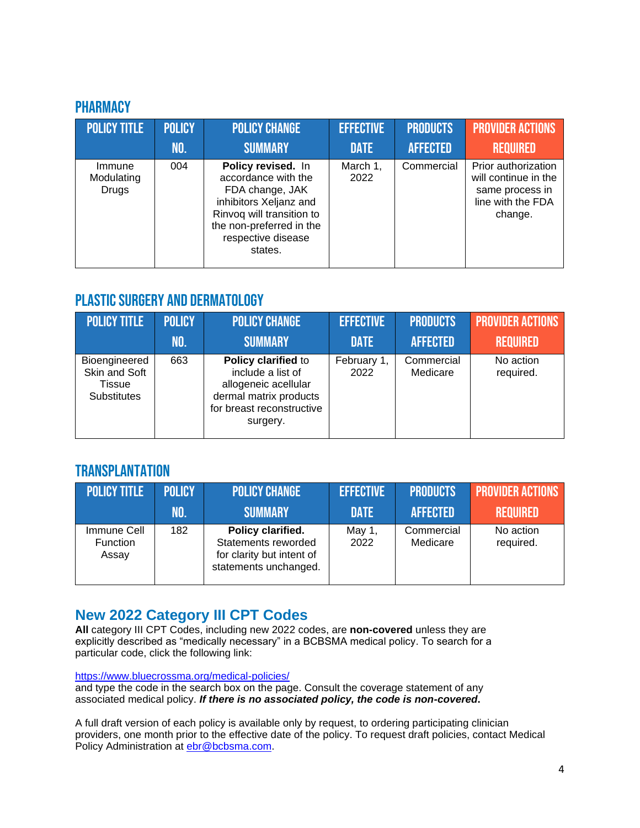#### <span id="page-3-0"></span>**PHARMACY**

| <b>POLICY TITLE</b>           | <b>POLICY</b> | <b>POLICY CHANGE</b>                                                                                                                                                             | <b>EFFECTIVE</b> | <b>PRODUCTS</b> | <b>PROVIDER ACTIONS</b>                                                                        |
|-------------------------------|---------------|----------------------------------------------------------------------------------------------------------------------------------------------------------------------------------|------------------|-----------------|------------------------------------------------------------------------------------------------|
|                               | NO.           | <b>SUMMARY</b>                                                                                                                                                                   | <b>DATE</b>      | <b>AFFECTED</b> | <b>REQUIRED</b>                                                                                |
| Immune<br>Modulating<br>Drugs | 004           | Policy revised. In<br>accordance with the<br>FDA change, JAK<br>inhibitors Xeljanz and<br>Rinvoq will transition to<br>the non-preferred in the<br>respective disease<br>states. | March 1,<br>2022 | Commercial      | Prior authorization<br>will continue in the<br>same process in<br>line with the FDA<br>change. |

### <span id="page-3-1"></span>Plastic Surgery and Dermatology

| <b>POLICY TITLE</b>                                     | <b>POLICY</b> | <b>POLICY CHANGE</b>                                                                                                                | <b>EFFECTIVE</b>    | <b>PRODUCTS</b>        | <b>PROVIDER ACTIONS</b> |
|---------------------------------------------------------|---------------|-------------------------------------------------------------------------------------------------------------------------------------|---------------------|------------------------|-------------------------|
|                                                         | NO.           | <b>SUMMARY</b>                                                                                                                      | <b>DATE</b>         | <b>AFFECTED</b>        | <b>REQUIRED</b>         |
| Bioengineered<br>Skin and Soft<br>Tissue<br>Substitutes | 663           | Policy clarified to<br>include a list of<br>allogeneic acellular<br>dermal matrix products<br>for breast reconstructive<br>surgery. | February 1,<br>2022 | Commercial<br>Medicare | No action<br>required.  |

#### <span id="page-3-2"></span>**TRANSPLANTATION**

| <b>POLICY TITLE</b>                     | <b>POLICY</b> | <b>POLICY CHANGE</b>                                                                           | <b>EFFECTIVE</b> | <b>PRODUCTS</b>        | <b>PROVIDER ACTIONS</b> |
|-----------------------------------------|---------------|------------------------------------------------------------------------------------------------|------------------|------------------------|-------------------------|
|                                         | NO.           | <b>SUMMARY</b>                                                                                 | <b>DATE</b>      | <b>AFFECTED</b>        | <b>REQUIRED</b>         |
| Immune Cell<br><b>Function</b><br>Assay | 182           | Policy clarified.<br>Statements reworded<br>for clarity but intent of<br>statements unchanged. | May 1,<br>2022   | Commercial<br>Medicare | No action<br>required.  |

#### **New 2022 Category III CPT Codes**

**All** category III CPT Codes, including new 2022 codes, are **non-covered** unless they are explicitly described as "medically necessary" in a BCBSMA medical policy. To search for a particular code, click the following link:

<https://www.bluecrossma.org/medical-policies/>

and type the code in the search box on the page. Consult the coverage statement of any associated medical policy. *If there is no associated policy, the code is non-covered***.**

A full draft version of each policy is available only by request, to ordering participating clinician providers, one month prior to the effective date of the policy. To request draft policies, contact Medical Policy Administration at **ebr@bcbsma.com**.